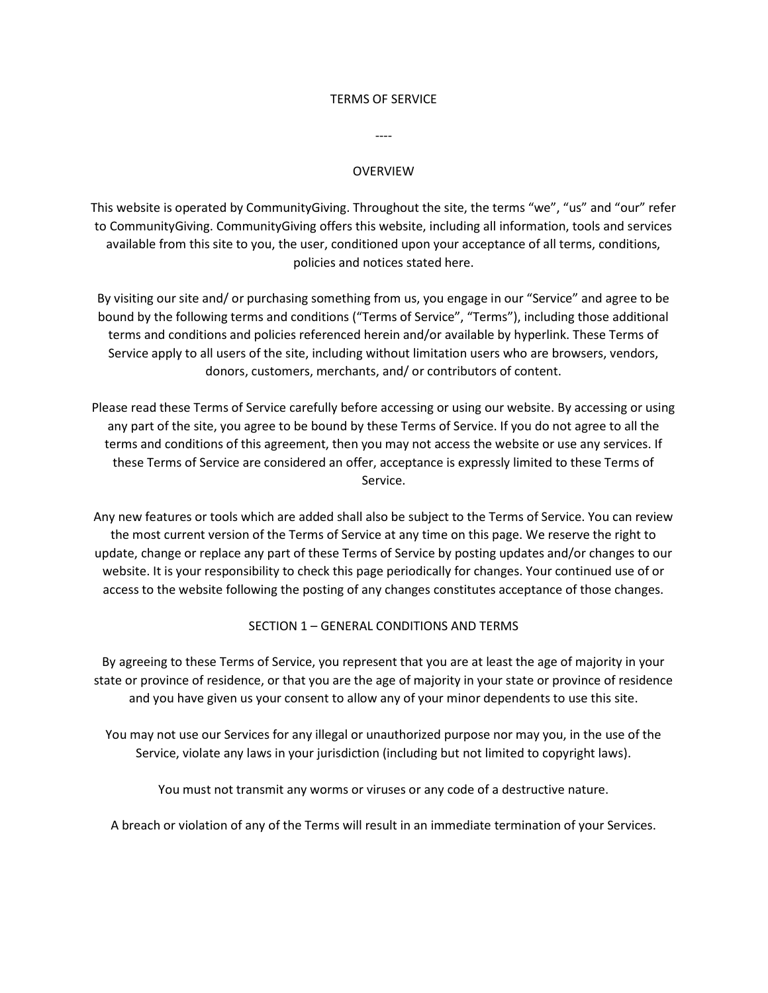#### TERMS OF SERVICE

----

#### OVERVIEW

This website is operated by CommunityGiving. Throughout the site, the terms "we", "us" and "our" refer to CommunityGiving. CommunityGiving offers this website, including all information, tools and services available from this site to you, the user, conditioned upon your acceptance of all terms, conditions, policies and notices stated here.

By visiting our site and/ or purchasing something from us, you engage in our "Service" and agree to be bound by the following terms and conditions ("Terms of Service", "Terms"), including those additional terms and conditions and policies referenced herein and/or available by hyperlink. These Terms of Service apply to all users of the site, including without limitation users who are browsers, vendors, donors, customers, merchants, and/ or contributors of content.

Please read these Terms of Service carefully before accessing or using our website. By accessing or using any part of the site, you agree to be bound by these Terms of Service. If you do not agree to all the terms and conditions of this agreement, then you may not access the website or use any services. If these Terms of Service are considered an offer, acceptance is expressly limited to these Terms of Service.

Any new features or tools which are added shall also be subject to the Terms of Service. You can review the most current version of the Terms of Service at any time on this page. We reserve the right to update, change or replace any part of these Terms of Service by posting updates and/or changes to our website. It is your responsibility to check this page periodically for changes. Your continued use of or access to the website following the posting of any changes constitutes acceptance of those changes.

### SECTION 1 – GENERAL CONDITIONS AND TERMS

By agreeing to these Terms of Service, you represent that you are at least the age of majority in your state or province of residence, or that you are the age of majority in your state or province of residence and you have given us your consent to allow any of your minor dependents to use this site.

You may not use our Services for any illegal or unauthorized purpose nor may you, in the use of the Service, violate any laws in your jurisdiction (including but not limited to copyright laws).

You must not transmit any worms or viruses or any code of a destructive nature.

A breach or violation of any of the Terms will result in an immediate termination of your Services.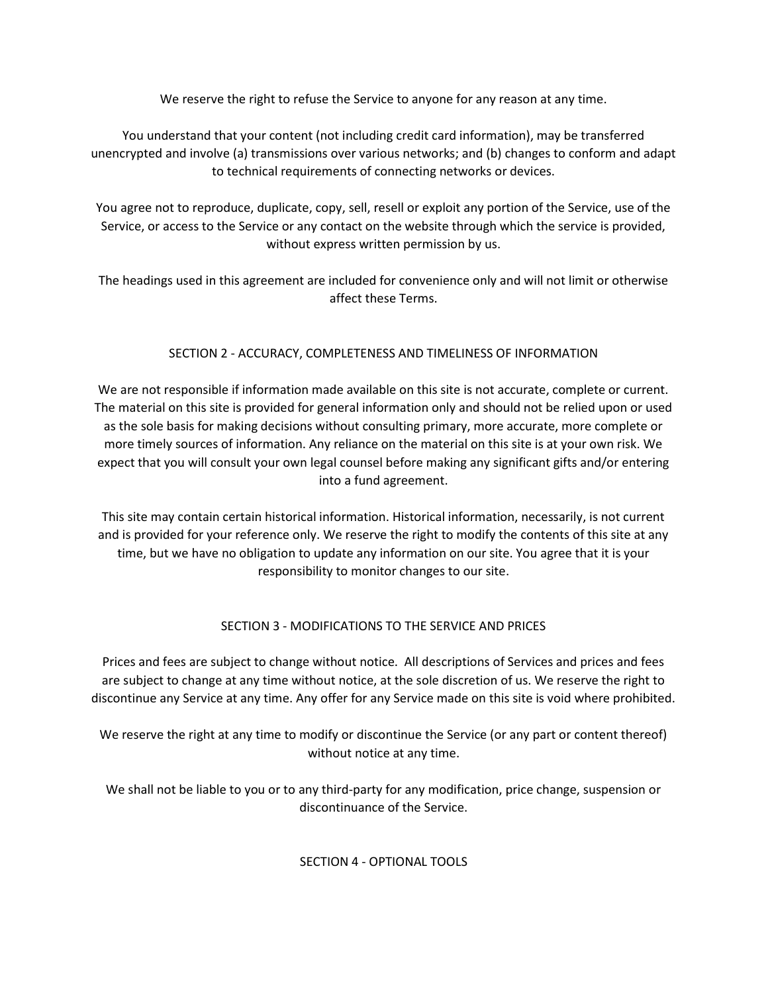We reserve the right to refuse the Service to anyone for any reason at any time.

You understand that your content (not including credit card information), may be transferred unencrypted and involve (a) transmissions over various networks; and (b) changes to conform and adapt to technical requirements of connecting networks or devices.

You agree not to reproduce, duplicate, copy, sell, resell or exploit any portion of the Service, use of the Service, or access to the Service or any contact on the website through which the service is provided, without express written permission by us.

The headings used in this agreement are included for convenience only and will not limit or otherwise affect these Terms.

# SECTION 2 - ACCURACY, COMPLETENESS AND TIMELINESS OF INFORMATION

We are not responsible if information made available on this site is not accurate, complete or current. The material on this site is provided for general information only and should not be relied upon or used as the sole basis for making decisions without consulting primary, more accurate, more complete or more timely sources of information. Any reliance on the material on this site is at your own risk. We expect that you will consult your own legal counsel before making any significant gifts and/or entering into a fund agreement.

This site may contain certain historical information. Historical information, necessarily, is not current and is provided for your reference only. We reserve the right to modify the contents of this site at any time, but we have no obligation to update any information on our site. You agree that it is your responsibility to monitor changes to our site.

## SECTION 3 - MODIFICATIONS TO THE SERVICE AND PRICES

Prices and fees are subject to change without notice. All descriptions of Services and prices and fees are subject to change at any time without notice, at the sole discretion of us. We reserve the right to discontinue any Service at any time. Any offer for any Service made on this site is void where prohibited.

We reserve the right at any time to modify or discontinue the Service (or any part or content thereof) without notice at any time.

We shall not be liable to you or to any third-party for any modification, price change, suspension or discontinuance of the Service.

SECTION 4 - OPTIONAL TOOLS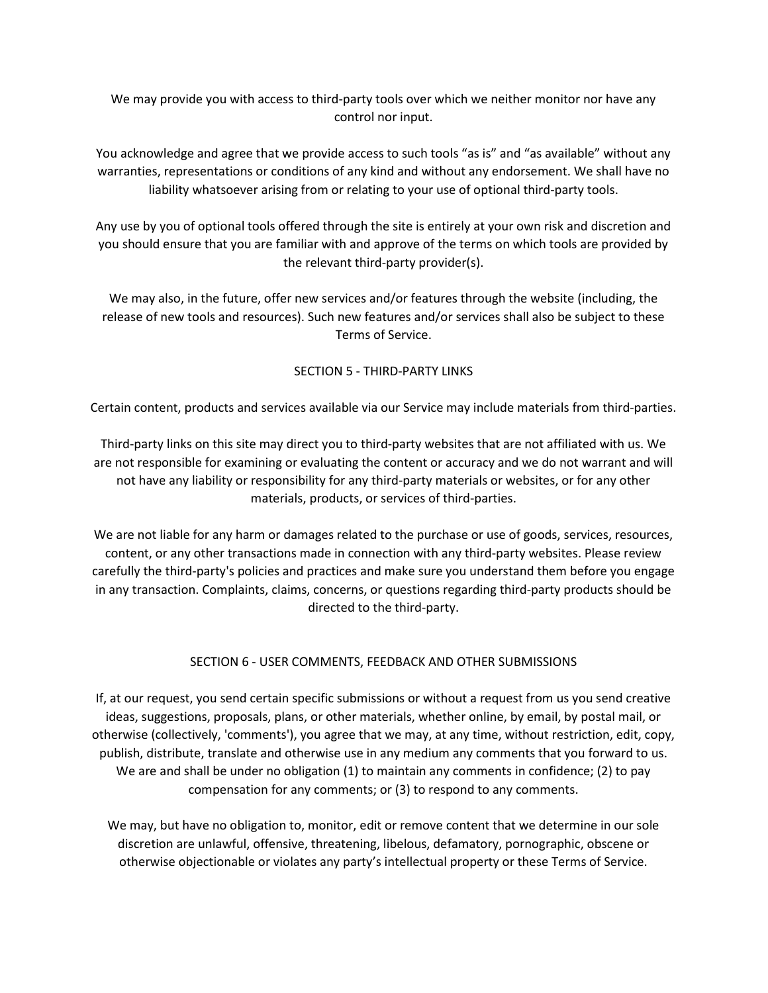We may provide you with access to third-party tools over which we neither monitor nor have any control nor input.

You acknowledge and agree that we provide access to such tools "as is" and "as available" without any warranties, representations or conditions of any kind and without any endorsement. We shall have no liability whatsoever arising from or relating to your use of optional third-party tools.

Any use by you of optional tools offered through the site is entirely at your own risk and discretion and you should ensure that you are familiar with and approve of the terms on which tools are provided by the relevant third-party provider(s).

We may also, in the future, offer new services and/or features through the website (including, the release of new tools and resources). Such new features and/or services shall also be subject to these Terms of Service.

### SECTION 5 - THIRD-PARTY LINKS

Certain content, products and services available via our Service may include materials from third-parties.

Third-party links on this site may direct you to third-party websites that are not affiliated with us. We are not responsible for examining or evaluating the content or accuracy and we do not warrant and will not have any liability or responsibility for any third-party materials or websites, or for any other materials, products, or services of third-parties.

We are not liable for any harm or damages related to the purchase or use of goods, services, resources, content, or any other transactions made in connection with any third-party websites. Please review carefully the third-party's policies and practices and make sure you understand them before you engage in any transaction. Complaints, claims, concerns, or questions regarding third-party products should be directed to the third-party.

## SECTION 6 - USER COMMENTS, FEEDBACK AND OTHER SUBMISSIONS

If, at our request, you send certain specific submissions or without a request from us you send creative ideas, suggestions, proposals, plans, or other materials, whether online, by email, by postal mail, or otherwise (collectively, 'comments'), you agree that we may, at any time, without restriction, edit, copy, publish, distribute, translate and otherwise use in any medium any comments that you forward to us. We are and shall be under no obligation (1) to maintain any comments in confidence; (2) to pay compensation for any comments; or (3) to respond to any comments.

We may, but have no obligation to, monitor, edit or remove content that we determine in our sole discretion are unlawful, offensive, threatening, libelous, defamatory, pornographic, obscene or otherwise objectionable or violates any party's intellectual property or these Terms of Service.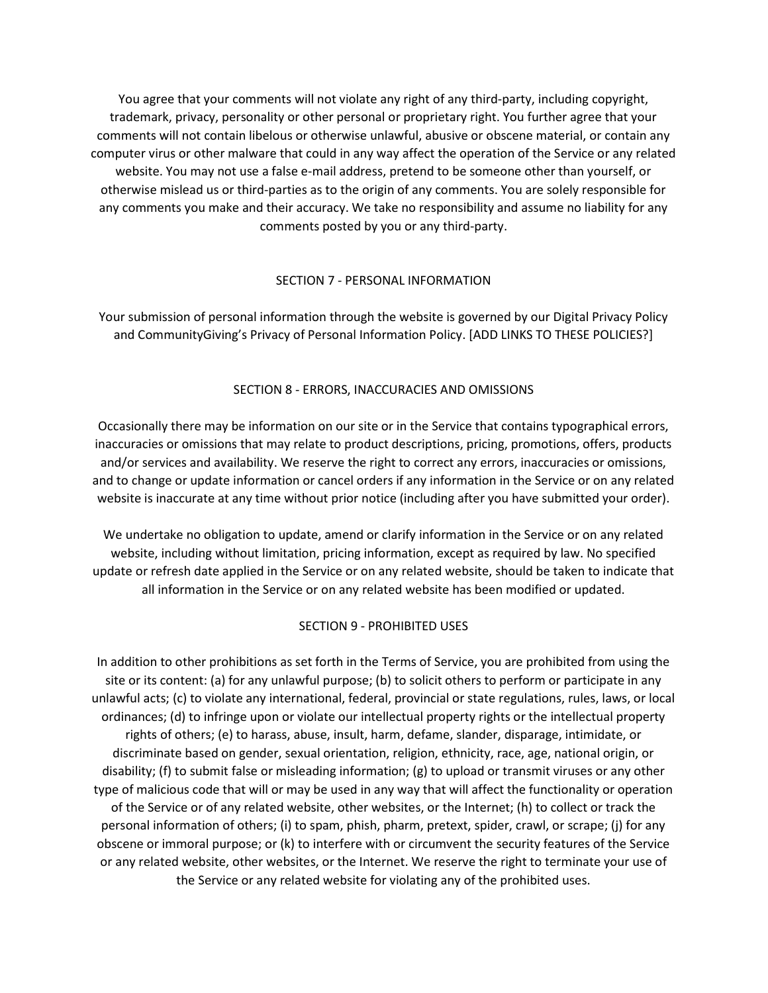You agree that your comments will not violate any right of any third-party, including copyright, trademark, privacy, personality or other personal or proprietary right. You further agree that your comments will not contain libelous or otherwise unlawful, abusive or obscene material, or contain any computer virus or other malware that could in any way affect the operation of the Service or any related website. You may not use a false e-mail address, pretend to be someone other than yourself, or otherwise mislead us or third-parties as to the origin of any comments. You are solely responsible for any comments you make and their accuracy. We take no responsibility and assume no liability for any comments posted by you or any third-party.

#### SECTION 7 - PERSONAL INFORMATION

Your submission of personal information through the website is governed by our Digital Privacy Policy and CommunityGiving's Privacy of Personal Information Policy. [ADD LINKS TO THESE POLICIES?]

#### SECTION 8 - ERRORS, INACCURACIES AND OMISSIONS

Occasionally there may be information on our site or in the Service that contains typographical errors, inaccuracies or omissions that may relate to product descriptions, pricing, promotions, offers, products and/or services and availability. We reserve the right to correct any errors, inaccuracies or omissions, and to change or update information or cancel orders if any information in the Service or on any related website is inaccurate at any time without prior notice (including after you have submitted your order).

We undertake no obligation to update, amend or clarify information in the Service or on any related website, including without limitation, pricing information, except as required by law. No specified update or refresh date applied in the Service or on any related website, should be taken to indicate that all information in the Service or on any related website has been modified or updated.

#### SECTION 9 - PROHIBITED USES

In addition to other prohibitions as set forth in the Terms of Service, you are prohibited from using the site or its content: (a) for any unlawful purpose; (b) to solicit others to perform or participate in any unlawful acts; (c) to violate any international, federal, provincial or state regulations, rules, laws, or local ordinances; (d) to infringe upon or violate our intellectual property rights or the intellectual property rights of others; (e) to harass, abuse, insult, harm, defame, slander, disparage, intimidate, or discriminate based on gender, sexual orientation, religion, ethnicity, race, age, national origin, or disability; (f) to submit false or misleading information; (g) to upload or transmit viruses or any other type of malicious code that will or may be used in any way that will affect the functionality or operation of the Service or of any related website, other websites, or the Internet; (h) to collect or track the personal information of others; (i) to spam, phish, pharm, pretext, spider, crawl, or scrape; (j) for any obscene or immoral purpose; or (k) to interfere with or circumvent the security features of the Service or any related website, other websites, or the Internet. We reserve the right to terminate your use of the Service or any related website for violating any of the prohibited uses.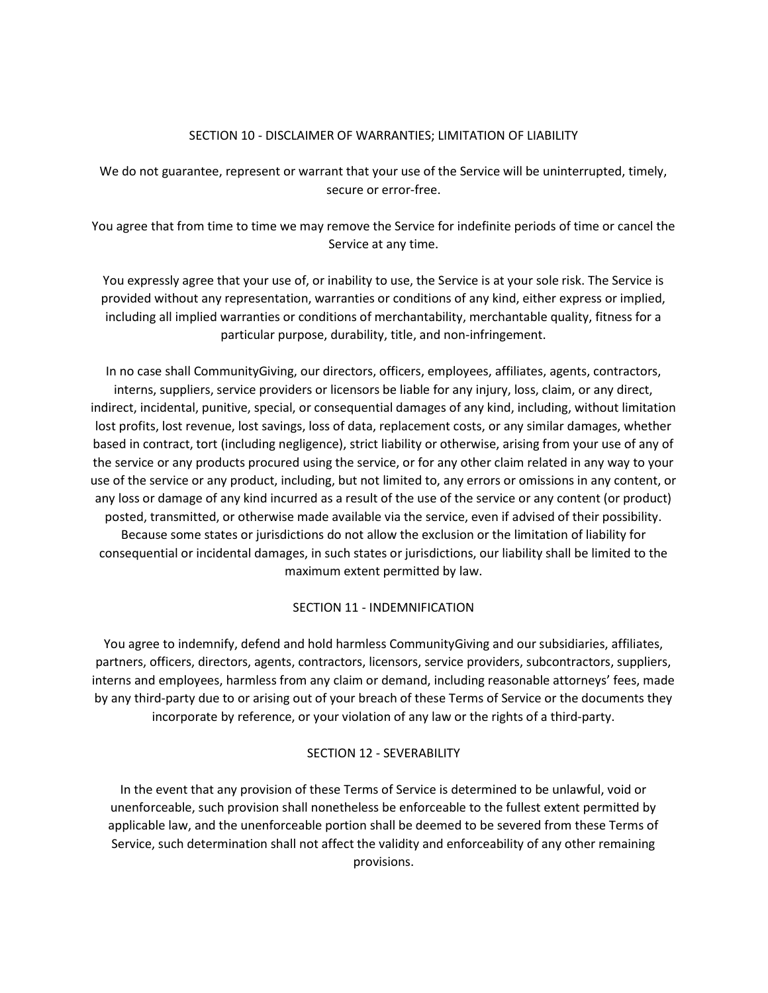#### SECTION 10 - DISCLAIMER OF WARRANTIES; LIMITATION OF LIABILITY

We do not guarantee, represent or warrant that your use of the Service will be uninterrupted, timely, secure or error-free.

You agree that from time to time we may remove the Service for indefinite periods of time or cancel the Service at any time.

You expressly agree that your use of, or inability to use, the Service is at your sole risk. The Service is provided without any representation, warranties or conditions of any kind, either express or implied, including all implied warranties or conditions of merchantability, merchantable quality, fitness for a particular purpose, durability, title, and non-infringement.

In no case shall CommunityGiving, our directors, officers, employees, affiliates, agents, contractors, interns, suppliers, service providers or licensors be liable for any injury, loss, claim, or any direct, indirect, incidental, punitive, special, or consequential damages of any kind, including, without limitation lost profits, lost revenue, lost savings, loss of data, replacement costs, or any similar damages, whether based in contract, tort (including negligence), strict liability or otherwise, arising from your use of any of the service or any products procured using the service, or for any other claim related in any way to your use of the service or any product, including, but not limited to, any errors or omissions in any content, or any loss or damage of any kind incurred as a result of the use of the service or any content (or product) posted, transmitted, or otherwise made available via the service, even if advised of their possibility. Because some states or jurisdictions do not allow the exclusion or the limitation of liability for consequential or incidental damages, in such states or jurisdictions, our liability shall be limited to the maximum extent permitted by law.

#### SECTION 11 - INDEMNIFICATION

You agree to indemnify, defend and hold harmless CommunityGiving and our subsidiaries, affiliates, partners, officers, directors, agents, contractors, licensors, service providers, subcontractors, suppliers, interns and employees, harmless from any claim or demand, including reasonable attorneys' fees, made by any third-party due to or arising out of your breach of these Terms of Service or the documents they incorporate by reference, or your violation of any law or the rights of a third-party.

#### SECTION 12 - SEVERABILITY

In the event that any provision of these Terms of Service is determined to be unlawful, void or unenforceable, such provision shall nonetheless be enforceable to the fullest extent permitted by applicable law, and the unenforceable portion shall be deemed to be severed from these Terms of Service, such determination shall not affect the validity and enforceability of any other remaining provisions.